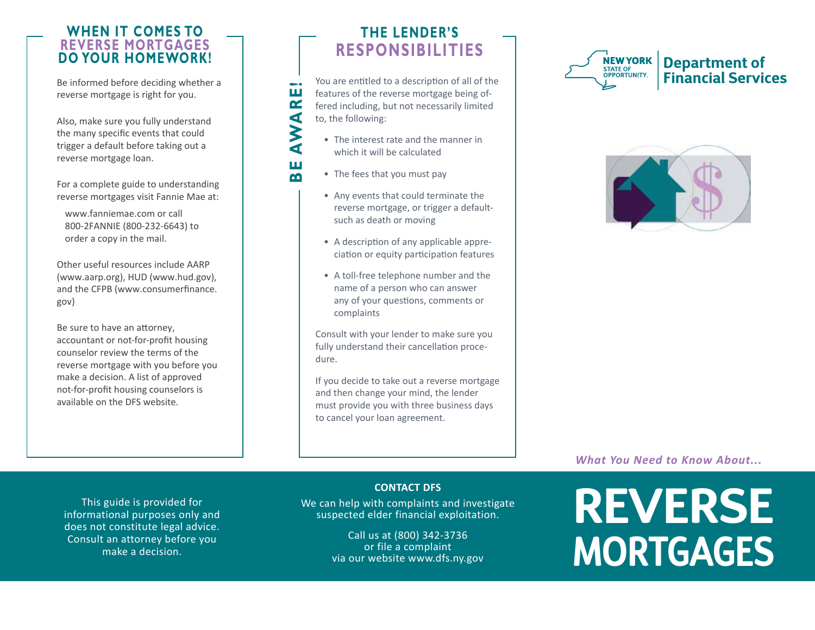## **WHEN IT COMES TO REVERSE MORTGAGES DO YOUR HOMEWORK!**

Be informed before deciding whether a reverse mortgage is right for you.

Also, make sure you fully understand the many specific events that could trigger a default before taking out a reverse mortgage loan.

For a complete guide to understanding reverse mortgages visit Fannie Mae at:

www.fanniemae.com or call 800-2FANNIE (800-232-6643) to order a copy in the mail.

Other useful resources include AARP (www.aarp.org), HUD (www.hud.gov), [and the CFPB \(www.consumerfinance.](https://www.consumerfinance.gov) gov)

Be sure to have an attorney, accountant or not-for-profit housing counselor review the terms of the reverse mortgage with you before you make a decision. A list of approved not-for-profit housing counselors is available on the DFS website.

### **THE LENDER'S RESPONSIBILITIES**

You are entitled to a description of all of the features of the reverse mortgage being offered including, but not necessarily limited to, the following:

- The interest rate and the manner in which it will be calculated
- The fees that you must pay

BE AWARE!

AWA

Ш m

ш  $\alpha$ 

- Any events that could terminate the reverse mortgage, or trigger a defaultsuch as death or moving
- A description of any applicable appreciation or equity participation features
- A toll-free telephone number and the name of a person who can answer any of your questions, comments or complaints

Consult with your lender to make sure you fully understand their cancellation procedure.

If you decide to take out a reverse mortgage and then change your mind, the lender must provide you with three business days to cancel your loan agreement.





*What You Need to Know About...* 

This guide is provided for informational purposes only and does not constitute legal advice. Consult an attorney before you make a decision.

**CONTACT DFS** 

We can help with complaints and investigate suspected elder financial exploitation.

> Call us at (800) 342-3736 or file a complaint via our website www.dfs.ny.gov